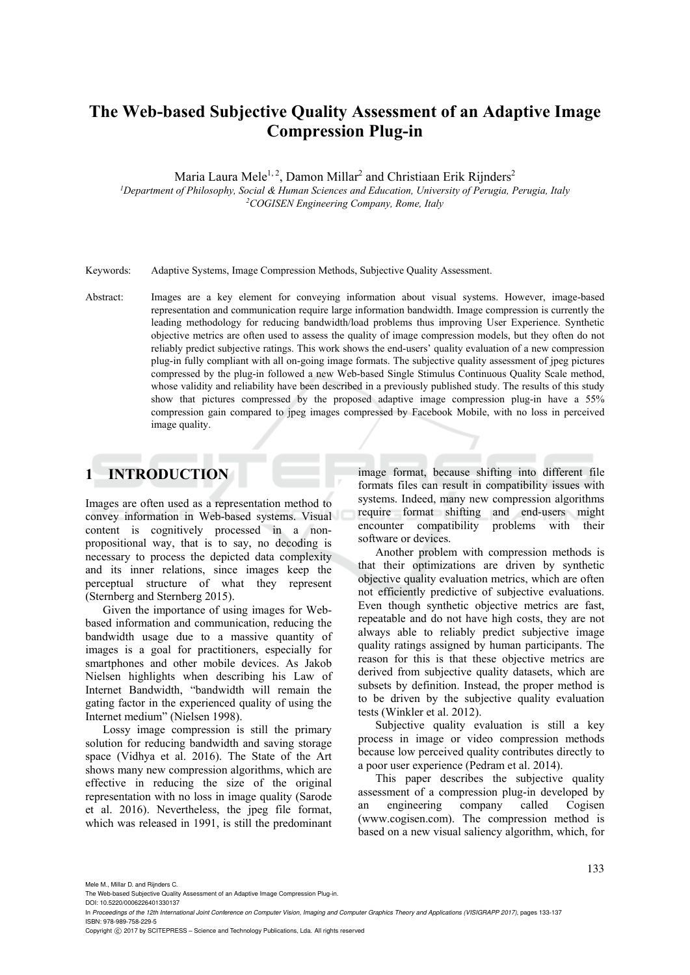# **The Web-based Subjective Quality Assessment of an Adaptive Image Compression Plug-in**

Maria Laura Mele<sup>1, 2</sup>, Damon Millar<sup>2</sup> and Christiaan Erik Rijnders<sup>2</sup>

*1Department of Philosophy, Social & Human Sciences and Education, University of Perugia, Perugia, Italy 2COGISEN Engineering Company, Rome, Italy* 

Keywords: Adaptive Systems, Image Compression Methods, Subjective Quality Assessment.

Abstract: Images are a key element for conveying information about visual systems. However, image-based representation and communication require large information bandwidth. Image compression is currently the leading methodology for reducing bandwidth/load problems thus improving User Experience. Synthetic objective metrics are often used to assess the quality of image compression models, but they often do not reliably predict subjective ratings. This work shows the end-users' quality evaluation of a new compression plug-in fully compliant with all on-going image formats. The subjective quality assessment of jpeg pictures compressed by the plug-in followed a new Web-based Single Stimulus Continuous Quality Scale method, whose validity and reliability have been described in a previously published study. The results of this study show that pictures compressed by the proposed adaptive image compression plug-in have a 55% compression gain compared to jpeg images compressed by Facebook Mobile, with no loss in perceived image quality.

# **1 INTRODUCTION**

Images are often used as a representation method to convey information in Web-based systems. Visual content is cognitively processed in a nonpropositional way, that is to say, no decoding is necessary to process the depicted data complexity and its inner relations, since images keep the perceptual structure of what they represent (Sternberg and Sternberg 2015).

Given the importance of using images for Webbased information and communication, reducing the bandwidth usage due to a massive quantity of images is a goal for practitioners, especially for smartphones and other mobile devices. As Jakob Nielsen highlights when describing his Law of Internet Bandwidth, "bandwidth will remain the gating factor in the experienced quality of using the Internet medium" (Nielsen 1998).

Lossy image compression is still the primary solution for reducing bandwidth and saving storage space (Vidhya et al. 2016). The State of the Art shows many new compression algorithms, which are effective in reducing the size of the original representation with no loss in image quality (Sarode et al. 2016). Nevertheless, the jpeg file format, which was released in 1991, is still the predominant

image format, because shifting into different file formats files can result in compatibility issues with systems. Indeed, many new compression algorithms require format shifting and end-users might encounter compatibility problems with their software or devices.

Another problem with compression methods is that their optimizations are driven by synthetic objective quality evaluation metrics, which are often not efficiently predictive of subjective evaluations. Even though synthetic objective metrics are fast, repeatable and do not have high costs, they are not always able to reliably predict subjective image quality ratings assigned by human participants. The reason for this is that these objective metrics are derived from subjective quality datasets, which are subsets by definition. Instead, the proper method is to be driven by the subjective quality evaluation tests (Winkler et al. 2012).

Subjective quality evaluation is still a key process in image or video compression methods because low perceived quality contributes directly to a poor user experience (Pedram et al. 2014).

This paper describes the subjective quality assessment of a compression plug-in developed by an engineering company called Cogisen (www.cogisen.com). The compression method is based on a new visual saliency algorithm, which, for

DOI: 10.5220/0006226401330137

In *Proceedings of the 12th International Joint Conference on Computer Vision, Imaging and Computer Graphics Theory and Applications (VISIGRAPP 2017)*, pages 133-137 ISBN: 978-989-758-229-5

Copyright © 2017 by SCITEPRESS - Science and Technology Publications, Lda. All rights reserved

Mele M., Millar D. and Rijnders C.<br>The Web-based Subjective Quality As essment of an Adaptive Image Compression Plug-in.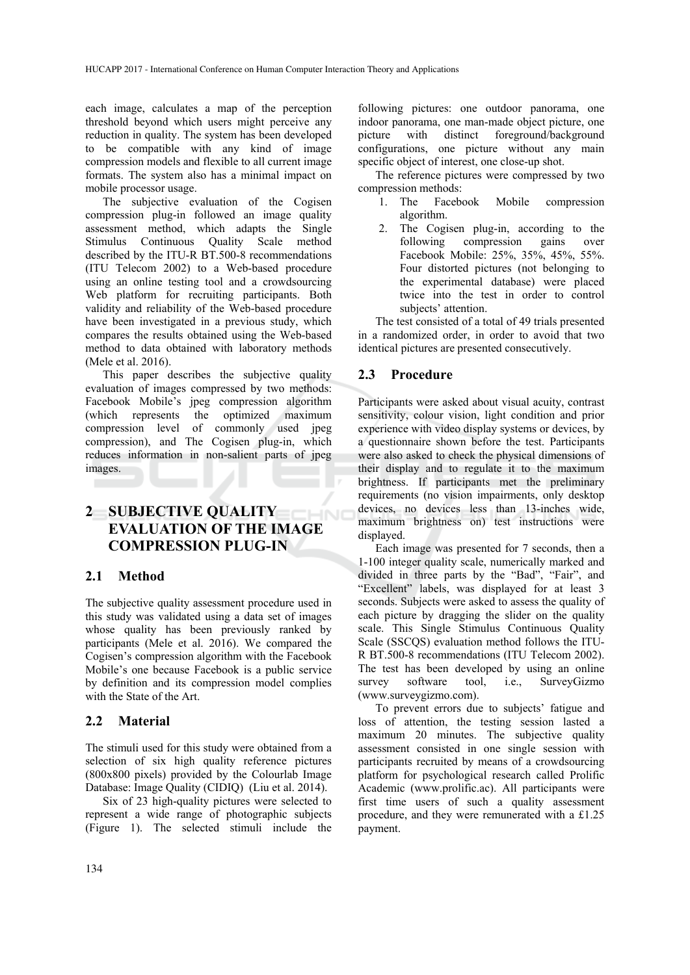each image, calculates a map of the perception threshold beyond which users might perceive any reduction in quality. The system has been developed to be compatible with any kind of image compression models and flexible to all current image formats. The system also has a minimal impact on mobile processor usage.

The subjective evaluation of the Cogisen compression plug-in followed an image quality assessment method, which adapts the Single<br>Stimulus Continuous Quality Scale method Stimulus Continuous Quality described by the ITU-R BT.500-8 recommendations (ITU Telecom 2002) to a Web-based procedure using an online testing tool and a crowdsourcing Web platform for recruiting participants. Both validity and reliability of the Web-based procedure have been investigated in a previous study, which compares the results obtained using the Web-based method to data obtained with laboratory methods (Mele et al. 2016).

This paper describes the subjective quality evaluation of images compressed by two methods: Facebook Mobile's jpeg compression algorithm (which represents the optimized maximum compression level of commonly used jpeg compression), and The Cogisen plug-in, which reduces information in non-salient parts of jpeg images.

#### **2 SUBJECTIVE QUALITY**   $-N$ **EVALUATION OF THE IMAGE COMPRESSION PLUG-IN**

#### **2.1 Method**

The subjective quality assessment procedure used in this study was validated using a data set of images whose quality has been previously ranked by participants (Mele et al. 2016). We compared the Cogisen's compression algorithm with the Facebook Mobile's one because Facebook is a public service by definition and its compression model complies with the State of the Art.

#### **2.2 Material**

The stimuli used for this study were obtained from a selection of six high quality reference pictures (800x800 pixels) provided by the Colourlab Image Database: Image Quality (CIDIQ) (Liu et al. 2014).

Six of 23 high-quality pictures were selected to represent a wide range of photographic subjects (Figure 1). The selected stimuli include the

following pictures: one outdoor panorama, one indoor panorama, one man-made object picture, one picture with distinct foreground/background configurations, one picture without any main specific object of interest, one close-up shot.

The reference pictures were compressed by two compression methods:

- 1. The Facebook Mobile compression algorithm.
- 2. The Cogisen plug-in, according to the following compression gains over Facebook Mobile: 25%, 35%, 45%, 55%. Four distorted pictures (not belonging to the experimental database) were placed twice into the test in order to control subjects' attention.

The test consisted of a total of 49 trials presented in a randomized order, in order to avoid that two identical pictures are presented consecutively.

#### **2.3 Procedure**

Participants were asked about visual acuity, contrast sensitivity, colour vision, light condition and prior experience with video display systems or devices, by a questionnaire shown before the test. Participants were also asked to check the physical dimensions of their display and to regulate it to the maximum brightness. If participants met the preliminary requirements (no vision impairments, only desktop devices, no devices less than 13-inches wide, maximum brightness on) test instructions were displayed.

Each image was presented for 7 seconds, then a 1-100 integer quality scale, numerically marked and divided in three parts by the "Bad", "Fair", and "Excellent" labels, was displayed for at least 3 seconds. Subjects were asked to assess the quality of each picture by dragging the slider on the quality scale. This Single Stimulus Continuous Quality Scale (SSCQS) evaluation method follows the ITU-R BT.500-8 recommendations (ITU Telecom 2002). The test has been developed by using an online survey software tool, i.e., SurveyGizmo (www.surveygizmo.com).

To prevent errors due to subjects' fatigue and loss of attention, the testing session lasted a maximum 20 minutes. The subjective quality assessment consisted in one single session with participants recruited by means of a crowdsourcing platform for psychological research called Prolific Academic (www.prolific.ac). All participants were first time users of such a quality assessment procedure, and they were remunerated with a £1.25 payment.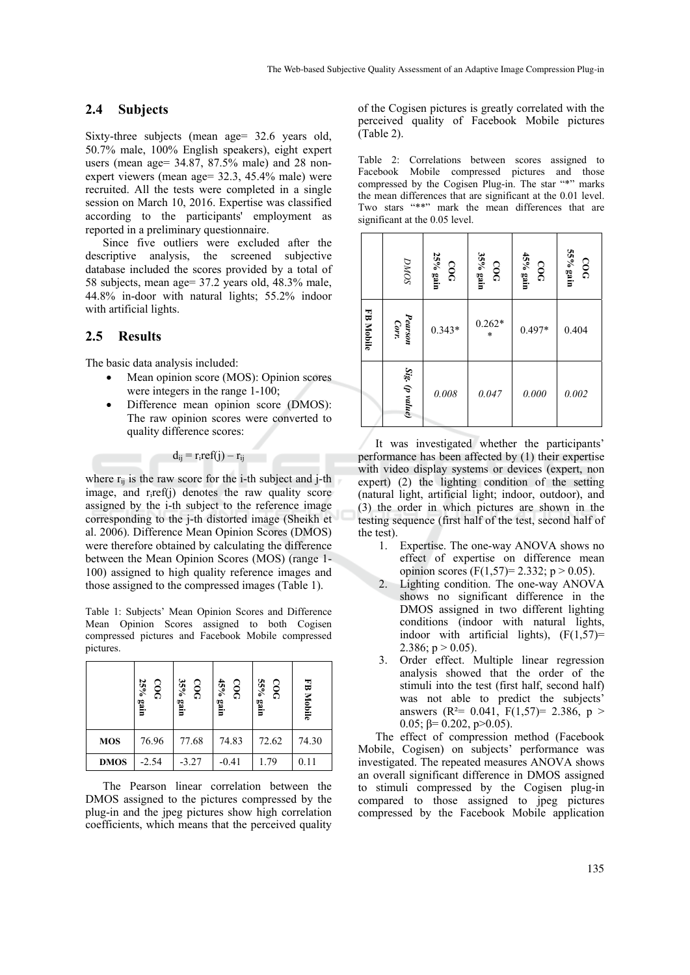### **2.4 Subjects**

Sixty-three subjects (mean age = 32.6 years old, 50.7% male, 100% English speakers), eight expert users (mean age= 34.87, 87.5% male) and 28 nonexpert viewers (mean age= 32.3, 45.4% male) were recruited. All the tests were completed in a single session on March 10, 2016. Expertise was classified according to the participants' employment as reported in a preliminary questionnaire.

Since five outliers were excluded after the descriptive analysis, the screened subjective database included the scores provided by a total of 58 subjects, mean age= 37.2 years old, 48.3% male, 44.8% in-door with natural lights; 55.2% indoor with artificial lights.

#### **2.5 Results**

The basic data analysis included:

- Mean opinion score (MOS): Opinion scores were integers in the range 1-100;
- Difference mean opinion score (DMOS): The raw opinion scores were converted to quality difference scores:

 $d_{ij} = r_iref(j) - r_{ij}$ 

where  $r_{ii}$  is the raw score for the i-th subject and j-th image, and riref(j) denotes the raw quality score assigned by the i-th subject to the reference image corresponding to the j-th distorted image (Sheikh et al. 2006). Difference Mean Opinion Scores (DMOS) were therefore obtained by calculating the difference between the Mean Opinion Scores (MOS) (range 1- 100) assigned to high quality reference images and those assigned to the compressed images (Table 1).

Table 1: Subjects' Mean Opinion Scores and Difference Mean Opinion Scores assigned to both Cogisen compressed pictures and Facebook Mobile compressed pictures.

|             | 25% gain<br>$\frac{1}{2}$ | 35% gain<br>500 | 45% gain<br>500 | 55% gain<br>500 | FB Mobile |
|-------------|---------------------------|-----------------|-----------------|-----------------|-----------|
| <b>MOS</b>  | 76.96                     | 77.68           | 74.83           | 72.62           | 74.30     |
| <b>DMOS</b> | $-2.54$                   | $-3.27$         | $-0.41$         | 1.79            | 0.11      |

The Pearson linear correlation between the DMOS assigned to the pictures compressed by the plug-in and the jpeg pictures show high correlation coefficients, which means that the perceived quality

of the Cogisen pictures is greatly correlated with the perceived quality of Facebook Mobile pictures (Table 2).

Table 2: Correlations between scores assigned to Facebook Mobile compressed pictures and those compressed by the Cogisen Plug-in. The star "\*" marks the mean differences that are significant at the 0.01 level. Two stars "\*\*" mark the mean differences that are significant at the 0.05 level.

|           | $\ensuremath{DMO}$ | 25% gain<br>000 | 35% gain<br>000     | 45% gain<br>COC | 55% gain<br>000 |
|-----------|--------------------|-----------------|---------------------|-----------------|-----------------|
| FB Mobile | Pearson<br>Corr.   | $0.343*$        | $0.262*$<br>$\star$ | $0.497*$        | 0.404           |
|           | Sig. (p value)     | $0.008\,$       | 0.047               | 0.000           | 0.002           |

It was investigated whether the participants' performance has been affected by (1) their expertise with video display systems or devices (expert, non expert) (2) the lighting condition of the setting (natural light, artificial light; indoor, outdoor), and (3) the order in which pictures are shown in the testing sequence (first half of the test, second half of the test).

- 1. Expertise. The one-way ANOVA shows no effect of expertise on difference mean opinion scores (F(1,57)= 2.332; p > 0.05).
- 2. Lighting condition. The one-way ANOVA shows no significant difference in the DMOS assigned in two different lighting conditions (indoor with natural lights, indoor with artificial lights),  $(F(1,57))$ = 2.386;  $p > 0.05$ ).
- 3. Order effect. Multiple linear regression analysis showed that the order of the stimuli into the test (first half, second half) was not able to predict the subjects' answers ( $R^2$ = 0.041,  $F(1,57)$ = 2.386,  $p >$ 0.05;  $β=$  0.202, p>0.05).

The effect of compression method (Facebook Mobile, Cogisen) on subjects' performance was investigated. The repeated measures ANOVA shows an overall significant difference in DMOS assigned to stimuli compressed by the Cogisen plug-in compared to those assigned to jpeg pictures compressed by the Facebook Mobile application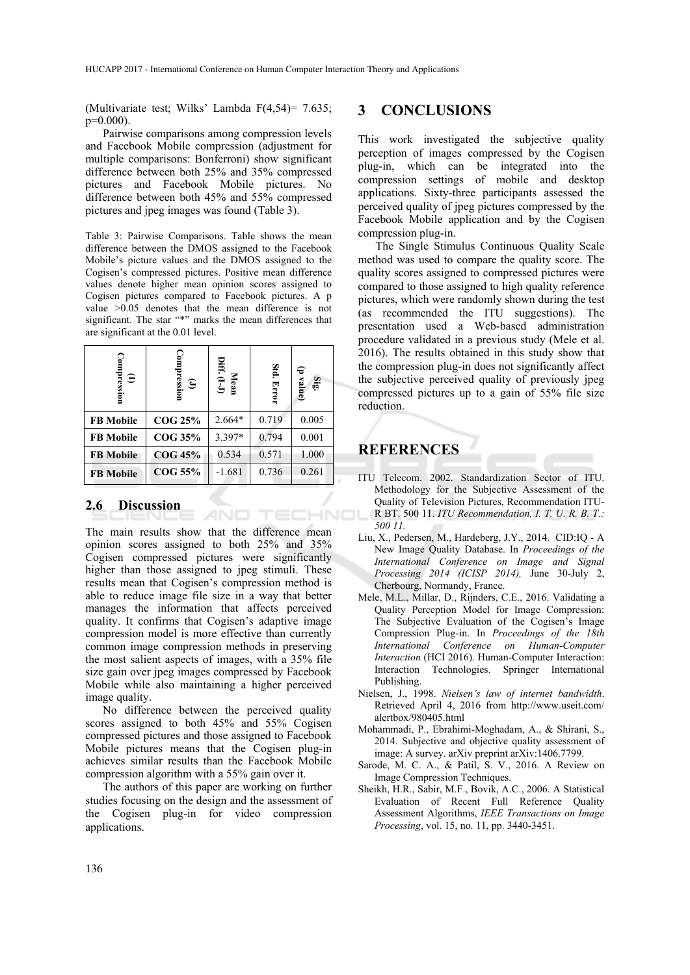(Multivariate test; Wilks' Lambda F(4,54)= 7.635; p=0.000).

Pairwise comparisons among compression levels and Facebook Mobile compression (adjustment for multiple comparisons: Bonferroni) show significant difference between both 25% and 35% compressed pictures and Facebook Mobile pictures. No difference between both 45% and 55% compressed pictures and jpeg images was found (Table 3).

Table 3: Pairwise Comparisons. Table shows the mean difference between the DMOS assigned to the Facebook Mobile's picture values and the DMOS assigned to the Cogisen's compressed pictures. Positive mean difference values denote higher mean opinion scores assigned to Cogisen pictures compared to Facebook pictures. A p value >0.05 denotes that the mean difference is not significant. The star "\*" marks the mean differences that are significant at the 0.01 level.

| Compression<br>$\widehat{\mathbf{c}}$ | (J)<br>Compression | Diff. $(I-J)$<br>Mean | Std. Error | (p value)<br>Sig |
|---------------------------------------|--------------------|-----------------------|------------|------------------|
| <b>FB</b> Mobile                      | <b>COG 25%</b>     | 2.664*                | 0.719      | 0.005            |
| <b>FB</b> Mobile                      | COG 35%            | 3.397*                | 0.794      | 0.001            |
| <b>FB</b> Mobile                      | <b>COG 45%</b>     | 0.534                 | 0.571      | 1.000            |
| <b>FB</b> Mobile                      | COG 55%            | $-1.681$              | 0.736      | 0.261            |

#### **2.6 Discussion**

The main results show that the difference mean opinion scores assigned to both 25% and 35% Cogisen compressed pictures were significantly higher than those assigned to jpeg stimuli. These results mean that Cogisen's compression method is able to reduce image file size in a way that better manages the information that affects perceived quality. It confirms that Cogisen's adaptive image compression model is more effective than currently common image compression methods in preserving the most salient aspects of images, with a 35% file size gain over jpeg images compressed by Facebook Mobile while also maintaining a higher perceived image quality.

No difference between the perceived quality scores assigned to both 45% and 55% Cogisen compressed pictures and those assigned to Facebook Mobile pictures means that the Cogisen plug-in achieves similar results than the Facebook Mobile compression algorithm with a 55% gain over it.

The authors of this paper are working on further studies focusing on the design and the assessment of the Cogisen plug-in for video compression applications.

### **3 CONCLUSIONS**

This work investigated the subjective quality perception of images compressed by the Cogisen plug-in, which can be integrated into the compression settings of mobile and desktop applications. Sixty-three participants assessed the perceived quality of jpeg pictures compressed by the Facebook Mobile application and by the Cogisen compression plug-in.

The Single Stimulus Continuous Quality Scale method was used to compare the quality score. The quality scores assigned to compressed pictures were compared to those assigned to high quality reference pictures, which were randomly shown during the test (as recommended the ITU suggestions). The presentation used a Web-based administration procedure validated in a previous study (Mele et al. 2016). The results obtained in this study show that the compression plug-in does not significantly affect the subjective perceived quality of previously jpeg compressed pictures up to a gain of 55% file size reduction.

## **REFERENCES**

- ITU Telecom. 2002. Standardization Sector of ITU. Methodology for the Subjective Assessment of the Quality of Television Pictures, Recommendation ITU-TECHNOL R BT. 500 11. *ITU Recommendation, I. T. U. R. B. T.: 500 11.* 
	- Liu, X., Pedersen, M., Hardeberg, J.Y., 2014. CID:IQ A New Image Quality Database. In *Proceedings of the International Conference on Image and Signal Processing 2014 (ICISP 2014),* June 30-July 2, Cherbourg, Normandy, France.
	- Mele, M.L., Millar, D., Rijnders, C.E., 2016. Validating a Quality Perception Model for Image Compression: The Subjective Evaluation of the Cogisen's Image Compression Plug-in. In *Proceedings of the 18th International Conference on Human-Computer Interaction* (HCI 2016). Human-Computer Interaction: Interaction Technologies. Springer International Publishing.
	- Nielsen, J., 1998. *Nielsen's law of internet bandwidth*. Retrieved April 4, 2016 from http://www.useit.com/ alertbox/980405.html
	- Mohammadi, P., Ebrahimi-Moghadam, A., & Shirani, S., 2014. Subjective and objective quality assessment of image: A survey. arXiv preprint arXiv:1406.7799.
	- Sarode, M. C. A., & Patil, S. V., 2016. A Review on Image Compression Techniques.
	- Sheikh, H.R., Sabir, M.F., Bovik, A.C., 2006. A Statistical Evaluation of Recent Full Reference Quality Assessment Algorithms, *IEEE Transactions on Image Processing*, vol. 15, no. 11, pp. 3440-3451.